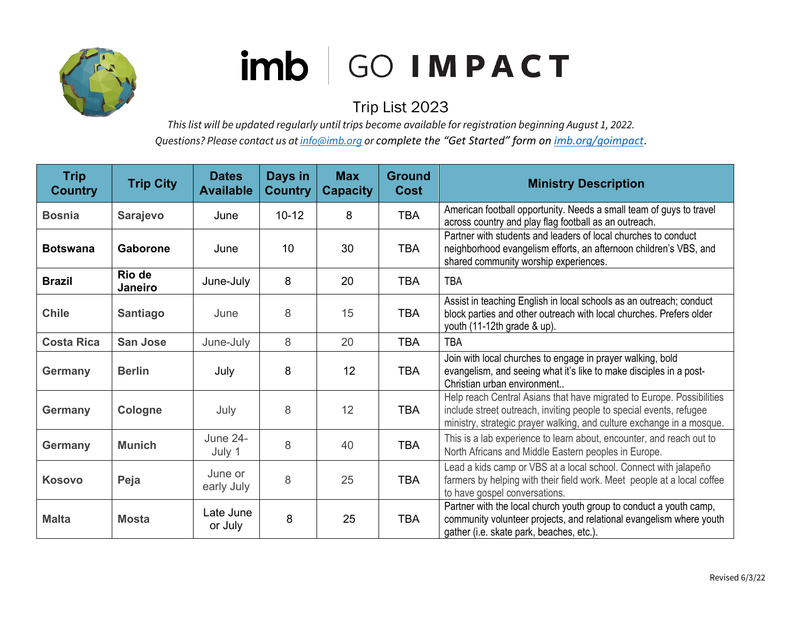

## imb GO IMPACT

## Trip List 2023

*This list will be updated regularly until trips become available for registration beginning August 1, 2022. Questions? Please contact us a[t info@imb.org](mailto:info@imb.org) or complete the "Get Started" form on [imb.org/goimpact](http://www.imb.org/goimpact)*.

| <b>Trip</b><br><b>Country</b> | <b>Trip City</b>  | <b>Dates</b><br><b>Available</b> | Days in<br><b>Country</b> | <b>Max</b><br><b>Capacity</b> | <b>Ground</b><br><b>Cost</b> | <b>Ministry Description</b>                                                                                                                                                                                           |
|-------------------------------|-------------------|----------------------------------|---------------------------|-------------------------------|------------------------------|-----------------------------------------------------------------------------------------------------------------------------------------------------------------------------------------------------------------------|
| <b>Bosnia</b>                 | <b>Sarajevo</b>   | June                             | $10 - 12$                 | 8                             | <b>TBA</b>                   | American football opportunity. Needs a small team of guys to travel<br>across country and play flag football as an outreach.                                                                                          |
| <b>Botswana</b>               | Gaborone          | June                             | 10                        | 30                            | <b>TBA</b>                   | Partner with students and leaders of local churches to conduct<br>neighborhood evangelism efforts, an afternoon children's VBS, and<br>shared community worship experiences.                                          |
| <b>Brazil</b>                 | Rio de<br>Janeiro | June-July                        | 8                         | 20                            | <b>TBA</b>                   | <b>TBA</b>                                                                                                                                                                                                            |
| <b>Chile</b>                  | <b>Santiago</b>   | June                             | 8                         | 15                            | <b>TBA</b>                   | Assist in teaching English in local schools as an outreach; conduct<br>block parties and other outreach with local churches. Prefers older<br>youth (11-12th grade & up).                                             |
| <b>Costa Rica</b>             | <b>San Jose</b>   | June-July                        | 8                         | 20                            | <b>TBA</b>                   | <b>TBA</b>                                                                                                                                                                                                            |
| <b>Germany</b>                | <b>Berlin</b>     | July                             | 8                         | 12                            | <b>TBA</b>                   | Join with local churches to engage in prayer walking, bold<br>evangelism, and seeing what it's like to make disciples in a post-<br>Christian urban environment                                                       |
| <b>Germany</b>                | Cologne           | July                             | 8                         | 12                            | <b>TBA</b>                   | Help reach Central Asians that have migrated to Europe. Possibilities<br>include street outreach, inviting people to special events, refugee<br>ministry, strategic prayer walking, and culture exchange in a mosque. |
| <b>Germany</b>                | <b>Munich</b>     | <b>June 24-</b><br>July 1        | 8                         | 40                            | <b>TBA</b>                   | This is a lab experience to learn about, encounter, and reach out to<br>North Africans and Middle Eastern peoples in Europe.                                                                                          |
| <b>Kosovo</b>                 | Peja              | June or<br>early July            | 8                         | 25                            | <b>TBA</b>                   | Lead a kids camp or VBS at a local school. Connect with jalapeño<br>farmers by helping with their field work. Meet people at a local coffee<br>to have gospel conversations.                                          |
| <b>Malta</b>                  | <b>Mosta</b>      | Late June<br>or July             | 8                         | 25                            | <b>TBA</b>                   | Partner with the local church youth group to conduct a youth camp,<br>community volunteer projects, and relational evangelism where youth<br>gather (i.e. skate park, beaches, etc.).                                 |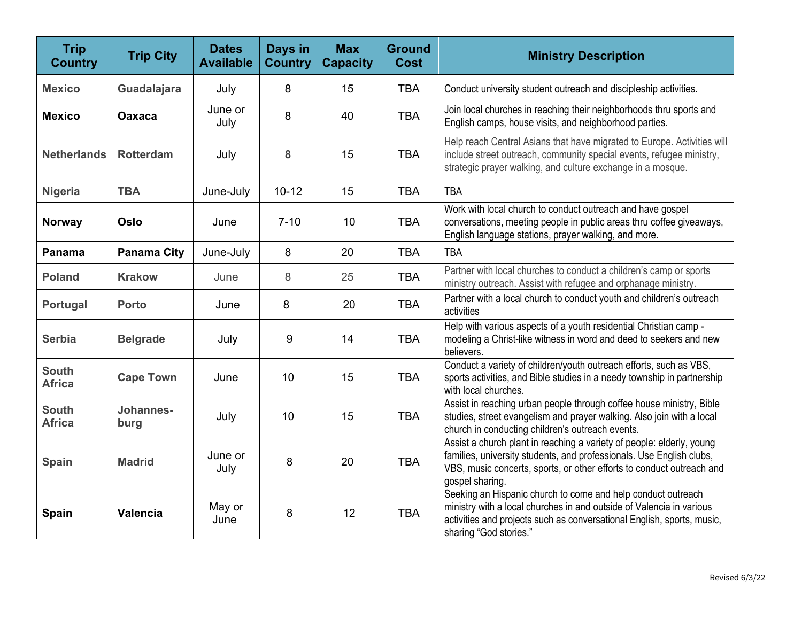| <b>Trip</b><br><b>Country</b> | <b>Trip City</b>   | <b>Dates</b><br><b>Available</b> | Days in<br><b>Country</b> | <b>Max</b><br><b>Capacity</b> | <b>Ground</b><br><b>Cost</b> | <b>Ministry Description</b>                                                                                                                                                                                                               |
|-------------------------------|--------------------|----------------------------------|---------------------------|-------------------------------|------------------------------|-------------------------------------------------------------------------------------------------------------------------------------------------------------------------------------------------------------------------------------------|
| <b>Mexico</b>                 | Guadalajara        | July                             | 8                         | 15                            | <b>TBA</b>                   | Conduct university student outreach and discipleship activities.                                                                                                                                                                          |
| <b>Mexico</b>                 | <b>Oaxaca</b>      | June or<br>July                  | 8                         | 40                            | <b>TBA</b>                   | Join local churches in reaching their neighborhoods thru sports and<br>English camps, house visits, and neighborhood parties.                                                                                                             |
| <b>Netherlands</b>            | <b>Rotterdam</b>   | July                             | 8                         | 15                            | <b>TBA</b>                   | Help reach Central Asians that have migrated to Europe. Activities will<br>include street outreach, community special events, refugee ministry,<br>strategic prayer walking, and culture exchange in a mosque.                            |
| <b>Nigeria</b>                | <b>TBA</b>         | June-July                        | $10 - 12$                 | 15                            | <b>TBA</b>                   | <b>TBA</b>                                                                                                                                                                                                                                |
| <b>Norway</b>                 | Oslo               | June                             | $7 - 10$                  | 10                            | <b>TBA</b>                   | Work with local church to conduct outreach and have gospel<br>conversations, meeting people in public areas thru coffee giveaways,<br>English language stations, prayer walking, and more.                                                |
| Panama                        | <b>Panama City</b> | June-July                        | 8                         | 20                            | <b>TBA</b>                   | <b>TBA</b>                                                                                                                                                                                                                                |
| <b>Poland</b>                 | <b>Krakow</b>      | June                             | 8                         | 25                            | <b>TBA</b>                   | Partner with local churches to conduct a children's camp or sports<br>ministry outreach. Assist with refugee and orphanage ministry.                                                                                                      |
| Portugal                      | <b>Porto</b>       | June                             | 8                         | 20                            | <b>TBA</b>                   | Partner with a local church to conduct youth and children's outreach<br>activities                                                                                                                                                        |
| Serbia                        | <b>Belgrade</b>    | July                             | 9                         | 14                            | <b>TBA</b>                   | Help with various aspects of a youth residential Christian camp -<br>modeling a Christ-like witness in word and deed to seekers and new<br>believers.                                                                                     |
| <b>South</b><br><b>Africa</b> | <b>Cape Town</b>   | June                             | 10                        | 15                            | <b>TBA</b>                   | Conduct a variety of children/youth outreach efforts, such as VBS,<br>sports activities, and Bible studies in a needy township in partnership<br>with local churches.                                                                     |
| <b>South</b><br><b>Africa</b> | Johannes-<br>burg  | July                             | 10                        | 15                            | <b>TBA</b>                   | Assist in reaching urban people through coffee house ministry, Bible<br>studies, street evangelism and prayer walking. Also join with a local<br>church in conducting children's outreach events.                                         |
| <b>Spain</b>                  | <b>Madrid</b>      | June or<br>July                  | 8                         | 20                            | <b>TBA</b>                   | Assist a church plant in reaching a variety of people: elderly, young<br>families, university students, and professionals. Use English clubs,<br>VBS, music concerts, sports, or other efforts to conduct outreach and<br>gospel sharing. |
| <b>Spain</b>                  | <b>Valencia</b>    | May or<br>June                   | 8                         | 12                            | <b>TBA</b>                   | Seeking an Hispanic church to come and help conduct outreach<br>ministry with a local churches in and outside of Valencia in various<br>activities and projects such as conversational English, sports, music,<br>sharing "God stories."  |